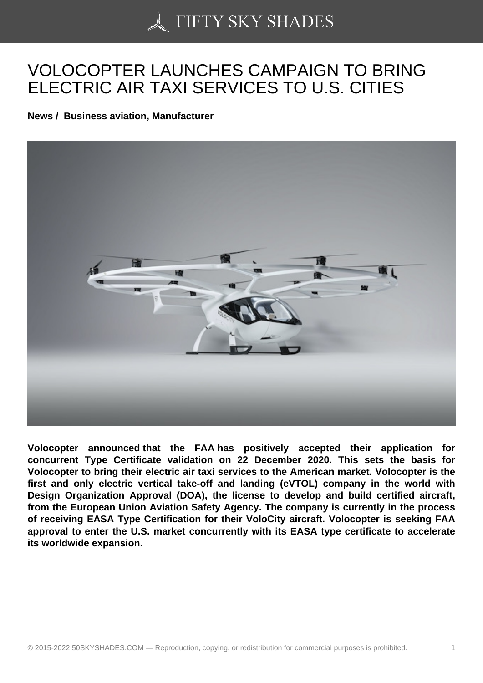## [VOLOCOPTER LAUNC](https://50skyshades.com)HES CAMPAIGN TO BRING ELECTRIC AIR TAXI SERVICES TO U.S. CITIES

News / Business aviation, Manufacturer

Volocopter announced that the FAA has positively accepted their application for concurrent Type Certificate validation on 22 December 2020. This sets the basis for Volocopter to bring their electric air taxi services to the American market. Volocopter is the first and only electric vertical take-off and landing (eVTOL) company in the world with Design Organization Approval (DOA), the license to develop and build certified aircraft, from the European Union Aviation Safety Agency. The company is currently in the process of receiving EASA Type Certification for their VoloCity aircraft. Volocopter is seeking FAA approval to enter the U.S. market concurrently with its EASA type certificate to accelerate its worldwide expansion.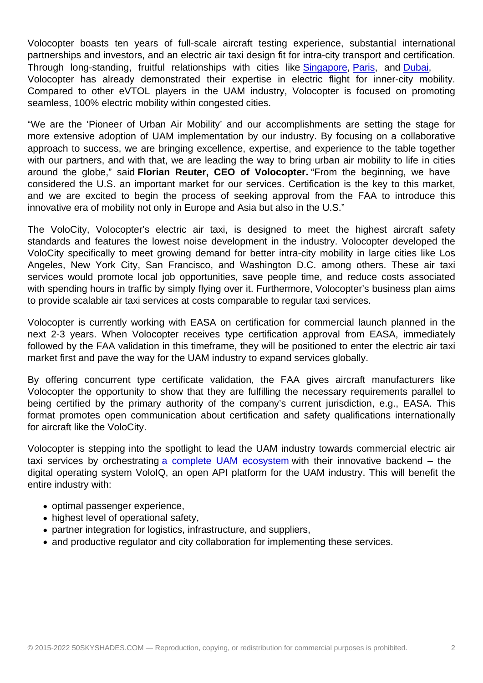Volocopter boasts ten years of full-scale aircraft testing experience, substantial international partnerships and investors, and an electric air taxi design fit for intra-city transport and certification. Through long-standing, fruitful relationships with cities like Singapore, Paris, and Dubai, Volocopter has already demonstrated their expertise in electric flight for inner-city mobility. Compared to other eVTOL players in the UAM industry, Volocopter is focused on promoting seamless, 100% electric mobility within congested cities.

"We are the 'Pioneer of Urban Air Mobility' and our accomplishments are setting the stage for more extensive adoption of UAM implementation by our industry. By focusing on a collaborative approach to success, we are bringing excellence, expertise, and experience to the table together with our partners, and with that, we are leading the way to bring urban air mobility to life in cities around the globe," said Florian Reuter, CEO of Volocopter. "From the beginning, we have considered the U.S. an important market for our services. Certification is the key to this market, and we are excited to begin the process of seeking approval from the FAA to introduce this innovative era of mobility not only in Europe and Asia but also in the U.S."

The VoloCity, Volocopter's electric air taxi, is designed to meet the highest aircraft safety standards and features the lowest noise development in the industry. Volocopter developed the VoloCity specifically to meet growing demand for better intra-city mobility in large cities like Los Angeles, New York City, San Francisco, and Washington D.C. among others. These air taxi services would promote local job opportunities, save people time, and reduce costs associated with spending hours in traffic by simply flying over it. Furthermore, Volocopter's business plan aims to provide scalable air taxi services at costs comparable to regular taxi services.

Volocopter is currently working with EASA on certification for commercial launch planned in the next 2-3 years. When Volocopter receives type certification approval from EASA, immediately followed by the FAA validation in this timeframe, they will be positioned to enter the electric air taxi market first and pave the way for the UAM industry to expand services globally.

By offering concurrent type certificate validation, the FAA gives aircraft manufacturers like Volocopter the opportunity to show that they are fulfilling the necessary requirements parallel to being certified by the primary authority of the company's current jurisdiction, e.g., EASA. This format promotes open communication about certification and safety qualifications internationally for aircraft like the VoloCity.

Volocopter is stepping into the spotlight to lead the UAM industry towards commercial electric air taxi services by orchestrating a complete UAM ecosystem with their innovative backend – the digital operating system VoloIQ, an open API platform for the UAM industry. This will benefit the entire industry with:

- optimal passenger experi[ence,](https://cts.businesswire.com/ct/CT?id=smartlink&url=https://www.youtube.com/watch?v=lw-CPfsoM8A&esheet=52362240&newsitemid=20210115005057&lan=en-US&anchor=a+complete+UAM+ecosystem&index=4&md5=00760aa647ab1d949901530c25320cd7)
- highest level of operational safety,
- partner integration for logistics, infrastructure, and suppliers,
- and productive regulator and city collaboration for implementing these services.